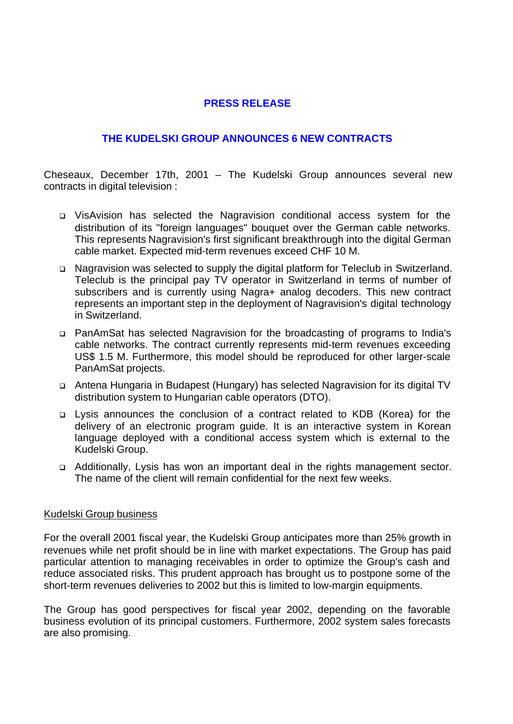## **PRESS RELEASE**

## **THE KUDELSKI GROUP ANNOUNCES 6 NEW CONTRACTS**

Cheseaux, December 17th, 2001 – The Kudelski Group announces several new contracts in digital television :

- <sup>q</sup> VisAvision has selected the Nagravision conditional access system for the distribution of its "foreign languages" bouquet over the German cable networks. This represents Nagravision's first significant breakthrough into the digital German cable market. Expected mid-term revenues exceed CHF 10 M.
- <sup>q</sup> Nagravision was selected to supply the digital platform for Teleclub in Switzerland. Teleclub is the principal pay TV operator in Switzerland in terms of number of subscribers and is currently using Nagra+ analog decoders. This new contract represents an important step in the deployment of Nagravision's digital technology in Switzerland.
- <sup>q</sup> PanAmSat has selected Nagravision for the broadcasting of programs to India's cable networks. The contract currently represents mid-term revenues exceeding US\$ 1.5 M. Furthermore, this model should be reproduced for other larger-scale PanAmSat projects.
- <sup>q</sup> Antena Hungaria in Budapest (Hungary) has selected Nagravision for its digital TV distribution system to Hungarian cable operators (DTO).
- <sup>q</sup> Lysis announces the conclusion of a contract related to KDB (Korea) for the delivery of an electronic program guide. It is an interactive system in Korean language deployed with a conditional access system which is external to the Kudelski Group.
- <sup>q</sup> Additionally, Lysis has won an important deal in the rights management sector. The name of the client will remain confidential for the next few weeks.

## Kudelski Group business

For the overall 2001 fiscal year, the Kudelski Group anticipates more than 25% growth in revenues while net profit should be in line with market expectations. The Group has paid particular attention to managing receivables in order to optimize the Group's cash and reduce associated risks. This prudent approach has brought us to postpone some of the short-term revenues deliveries to 2002 but this is limited to low-margin equipments.

The Group has good perspectives for fiscal year 2002, depending on the favorable business evolution of its principal customers. Furthermore, 2002 system sales forecasts are also promising.